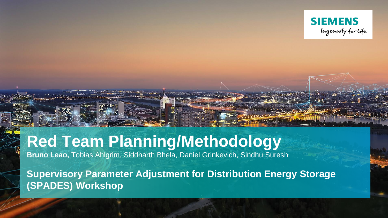

# **Red Team Planning/Methodology**

**Bruno Leao,** Tobias Ahlgrim, Siddharth Bhela, Daniel Grinkevich, Sindhu Suresh

**Supervisory Parameter Adjustment for Distribution Energy Storage (SPADES) Workshop**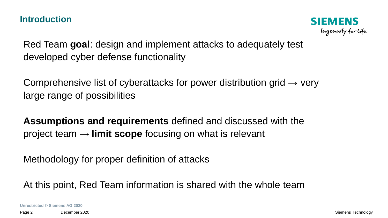#### **Introduction**



Red Team **goal**: design and implement attacks to adequately test developed cyber defense functionality

Comprehensive list of cyberattacks for power distribution grid  $\rightarrow$  very large range of possibilities

**Assumptions and requirements** defined and discussed with the project team → **limit scope** focusing on what is relevant

Methodology for proper definition of attacks

At this point, Red Team information is shared with the whole team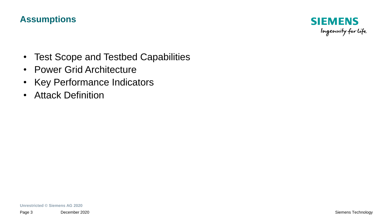

- Test Scope and Testbed Capabilities
- Power Grid Architecture
- Key Performance Indicators
- Attack Definition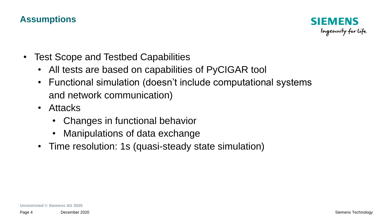

- Test Scope and Testbed Capabilities
	- All tests are based on capabilities of PyCIGAR tool
	- Functional simulation (doesn't include computational systems and network communication)
	- Attacks
		- Changes in functional behavior
		- Manipulations of data exchange
	- Time resolution: 1s (quasi-steady state simulation)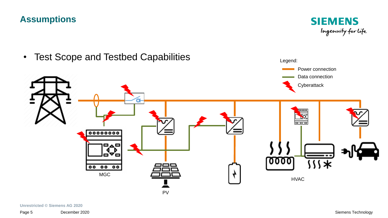

• Test Scope and Testbed Capabilities **Example 2018** Legend:

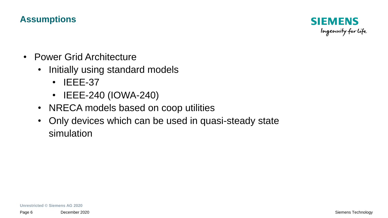

- Power Grid Architecture
	- Initially using standard models
		- IEEE-37
		- IEEE-240 (IOWA-240)
	- NRECA models based on coop utilities
	- Only devices which can be used in quasi-steady state simulation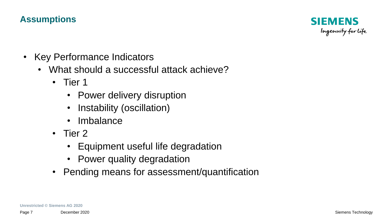

- Key Performance Indicators
	- What should a successful attack achieve?
		- Tier 1
			- Power delivery disruption
			- Instability (oscillation)
			- **Imbalance**
		- Tier 2
			- Equipment useful life degradation
			- Power quality degradation
		- Pending means for assessment/quantification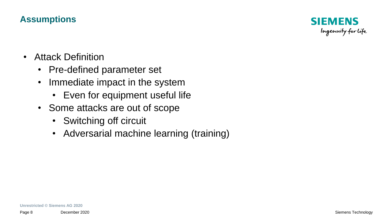

- Attack Definition
	- Pre-defined parameter set
	- Immediate impact in the system
		- Even for equipment useful life
	- Some attacks are out of scope
		- Switching off circuit
		- Adversarial machine learning (training)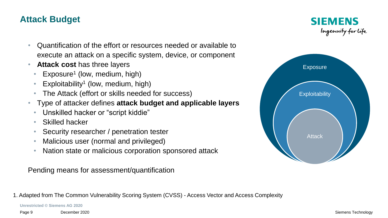## **Attack Budget**

**SIEMENS** Ingenuity for life

- Quantification of the effort or resources needed or available to execute an attack on a specific system, device, or component
- **Attack cost** has three layers
	- Exposure<sup>1</sup> (low, medium, high)
	- Exploitability<sup>1</sup> (low, medium, high)
	- The Attack (effort or skills needed for success)
- Type of attacker defines **attack budget and applicable layers**
	- Unskilled hacker or "script kiddie"
	- Skilled hacker
	- Security researcher / penetration tester
	- Malicious user (normal and privileged)
	- Nation state or malicious corporation sponsored attack

Pending means for assessment/quantification

1. Adapted from The Common Vulnerability Scoring System (CVSS) - Access Vector and Access Complexity

**Unrestricted © Siemens AG 2020**

Page 9 December 2020 Siemens Technology

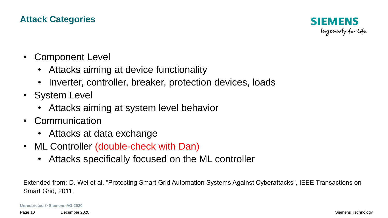## **Attack Categories**



- Component Level
	- Attacks aiming at device functionality
	- Inverter, controller, breaker, protection devices, loads
- System Level
	- Attacks aiming at system level behavior
- Communication
	- Attacks at data exchange
- ML Controller (double-check with Dan)
	- Attacks specifically focused on the ML controller

Extended from: D. Wei et al. "Protecting Smart Grid Automation Systems Against Cyberattacks", IEEE Transactions on Smart Grid, 2011.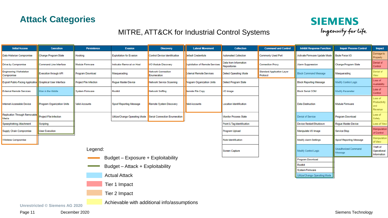



#### MITRE, ATT&CK for Industrial Control Systems

| Ingenuity for life |  |
|--------------------|--|
|                    |  |
|                    |  |

| <b>Initial Access</b>                                      | <b>Execution</b>                                                      | <b>Persistence</b>     | <b>Evasion</b>                  | <b>Discovery</b>                     | <b>Lateral Movement</b>           | <b>Collection</b>                     | <b>Command and Control</b>                    | <b>Inhibit Response Function</b> | <b>Impair Process Control</b>   | Impact                                   |
|------------------------------------------------------------|-----------------------------------------------------------------------|------------------------|---------------------------------|--------------------------------------|-----------------------------------|---------------------------------------|-----------------------------------------------|----------------------------------|---------------------------------|------------------------------------------|
| Data Historian Compromise                                  | Change Program State                                                  | Hooking                | <b>Exploitation for Evasion</b> | <b>Control Device Identification</b> | <b>Jefault Credentials</b>        | <b>Automated Collection</b>           | <b>Commonly Used Port</b>                     | Activate Firmware Update Mode    | <b>Brute Force I/O</b>          | Damage to<br>Property                    |
| Drive-by Compromise                                        | Command-Line Interface                                                | Module Firmware        | Indicator Removal on Host       | <b>I/O Module Discovery</b>          | Exploitation of Remote Services   | Data from Information<br>Repositories | <b>Connection Proxy</b>                       | <b>Alarm Suppression</b>         | Change Program State            | Denial of<br>Control                     |
| <b>Engineering Workstation</b><br>Compromise               | <b>Execution through API</b>                                          | Program Download       | Masquerading                    | Network Connection<br>Enumeration    | <b>External Remote Services</b>   | <b>Detect Operating Mode</b>          | <b>Standard Application Layer</b><br>Protocol | <b>Block Command Message</b>     | Masquerading                    | Denial of<br>View                        |
| Exploit Public-Facing Application Graphical User Interface |                                                                       | Project File Infection | Roque Master Device             | Network Service Scanning             | <b>Program Organization Units</b> | Detect Program State                  |                                               | <b>Block Reporting Message</b>   | Modify Control Logic            | Loss of<br>Availability                  |
| <b>External Remote Services</b>                            | Man in the Middle                                                     | <b>System Firmware</b> | Rootkit                         | Network Sniffing                     | <b>Remote File Copy</b>           | I/O Image                             |                                               | <b>Block Serial COM</b>          | Modify Parameter                | Loss of<br>Control                       |
| Internet Accessible Device                                 | Program Organization Units                                            | Valid Accounts         | Spoof Reporting Message         | Remote System Discovery              | <b>Valid Accounts</b>             | Location Identification               |                                               | <b>Data Destruction</b>          | Module Firmware                 | Loss of<br>Productivit<br>and<br>Revenue |
| Replication Through Removable<br>Media                     | <b>Project File Infection</b>                                         |                        | Utilize/Change Operating Mode   | Serial Connection Enumeration        |                                   | <b>Monitor Process State</b>          |                                               | Denial of Service                | Program Download                | Loss of<br>Safety                        |
| Spearphishing Attachment                                   | Scripting                                                             |                        |                                 |                                      |                                   | Point & Tag Identification            |                                               | Device Restart/Shutdown          | Rogue Master Device             | Loss of Vie                              |
| Supply Chain Compromise                                    | <b>User Execution</b>                                                 |                        |                                 |                                      |                                   | Program Upload                        |                                               | Manipulate I/O Image             | Service Stop                    | Manipulati<br>of Control                 |
| Wireless Compromise                                        |                                                                       |                        |                                 |                                      |                                   | Role Identification                   |                                               | <b>Modify Alarm Settings</b>     | <b>Spoof Reporting Message</b>  | Manipulati<br>of View                    |
| Legend:                                                    |                                                                       |                        |                                 |                                      |                                   | Screen Capture                        |                                               | Modify Control Logic             | Unauthorized Command<br>Message | Theft of<br>Operationa<br>Information    |
| Budget - Exposure + Exploitability                         |                                                                       |                        |                                 |                                      |                                   |                                       |                                               | Program Download                 |                                 |                                          |
|                                                            | Budget - Attack + Exploitability<br><b>Contract Contract Contract</b> |                        |                                 |                                      |                                   |                                       |                                               | Rootkit                          |                                 |                                          |
|                                                            |                                                                       |                        |                                 |                                      |                                   |                                       |                                               | <b>System Firmware</b>           |                                 |                                          |
|                                                            |                                                                       |                        | <b>Actual Attack</b>            |                                      |                                   |                                       |                                               | Utilize/Change Operating Mode    |                                 |                                          |
|                                                            |                                                                       |                        | Tier 1 Impact                   |                                      |                                   |                                       |                                               |                                  |                                 |                                          |

#### Tier 2 Impact

Achievable with additional info/assumptions

**Unrestricted © Siemens AG 2020**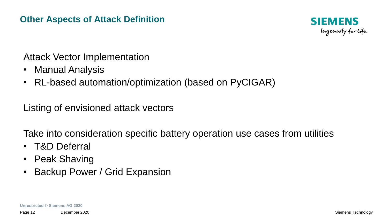#### **Other Aspects of Attack Definition**



# Attack Vector Implementation

- Manual Analysis
- RL-based automation/optimization (based on PyCIGAR)

Listing of envisioned attack vectors

Take into consideration specific battery operation use cases from utilities

- T&D Deferral
- Peak Shaving
- Backup Power / Grid Expansion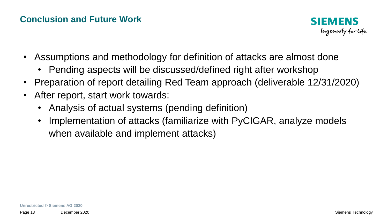## **Conclusion and Future Work**



- Assumptions and methodology for definition of attacks are almost done
	- Pending aspects will be discussed/defined right after workshop
- Preparation of report detailing Red Team approach (deliverable 12/31/2020)
- After report, start work towards:
	- Analysis of actual systems (pending definition)
	- Implementation of attacks (familiarize with PyCIGAR, analyze models when available and implement attacks)